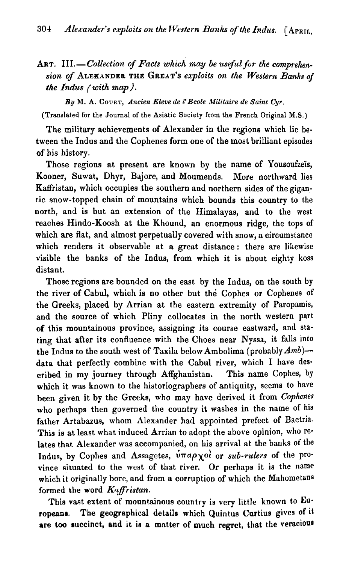ART. III.-Collection of Facts which may be useful for the comprehen*sion* **of** ALEXANDER *THE* GREAT'S *exploits on the Western Banks* of *the* **Indus** *(with map).* 

*By* **M. A. COURT,** *Ancien Eleve de 1'Ecole Militaire de Saint Cyr.* 

**(Translated for the Journal of the Asiatic Society from the French Original M.S.)** 

The military achievements of Alexander in the regions which lie between the Indus and the Cophenes form one of the most brilliant episodes of his history.

Those regions at present are known by the name of Yousoufzeïs, Kooner, Suwat, Dhyr, Bajore, and Moumends. More northward lies Kaffristan, which occupies the southern and northern sides of the gigantic snow-topped chain of mountains which bounds this country to the north, and is but an extension of the Himalayas, and to the west reaches Hindo-Koosh at the Khound, an enormous ridge, the tops of which are flat, and almost perpetually covered with snow, a circumstance which renders it observable at a great distance : there are likewise visible the banks of the Indus, from which it is about eighty koss distant.

Those regions are bounded on the east by the Indus, on the south by the river of Cabul, which is no other but the Cophes or Cophenes of the Greeks, placed by Arrian at the eastern extremity of Paropamis, and the source of which Pliny collocates in the north western part of this mountainous province, assigning its course eastward, and stating that after its confluence with the Choes near Nyssa, it falls into the Indus to the south west of Taxila below Ambolima (probably  $Amb$ )data that perfectly combine with the Cabul river, which I have described in my journey through Affghanistan. This name Cophes, by which it was known to the historiographers of antiquity, seems to have been given it by the Greeks, who may have derived it from *Cophmes*  who perhaps then governed the country it washes in the name of his father Artabazus, whom Alexander had appointed prefect of Bactria. This is at least what induced Arrian to adopt the above opinion, who relates that Alexander was accompanied, on his arrival at the banks of the Tndus, by Cophes and Assagetes, **6.rrapXoj** or *sub-rulers* of the province situated to the west of that river. Or perhaps it is the name which it originally bore, and from a corruption of which the Mahometans formed the word *Kaffristan*.

This vast extent of mountainous country is very little known to Europeane. The geographical details which Quintus Curtius gives of it are too succinct, and it is a matter of much regret, that the veracious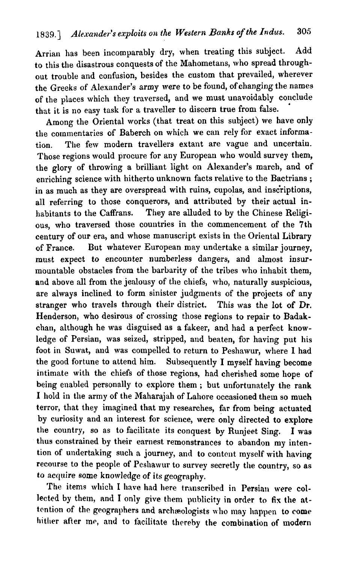Arrian has been incomparably dry, when treating this subject. Add to this the disastrous conquests of the Mahometans, who spread throughout trouble and confusion, besides the custom that prevailed, wherever the Greeks of Alexander's army were to be found, of changing the names of the places which they traversed, and we must unavoidably conclude that it is no easy task for a traveller to discern true from false.

Among the Oriental works (that treat on this subject) we have only the commentaries of Baberch on which we can rely for exact information. Tlie few modern travellers extant are vague and uncertain. Those regions would procure for any European who would survey them, the glory of throwing a brilliant light on Alexander's march, and of enriching science with hitherto unknown facts relative to the Bactrians ; in as much as they are overspread with ruins, cupolas, and inscriptions, all referring to those conquerors, and attributed by their actual inhabitants to the Caffrans. They are alluded to by the Chinese Religious, who traversed those countries in the commencement of the 7th century of our era, and whose manuscript exists in the Oriental Library of France. But whatever European may undertake a similar journey, must expect to encounter numberless dangers, and almost insurmountable obstacles from the barbarity of the tribes who inhabit them, and above all from the jealousy of the chiefs, who, naturally suspicious, are always inclined to form sinister judgments of the projects of any stranger who travels through their district. This was the lot of Dr. Henderson, who desirous of crossing those regions to repair to Badakchan, although he was disguised as a fakeer, and had a perfect knowledge of Persian, was seized, stripped, and beaten, for having put his foot in Suwat, and was compelled to return to Peshawur, where I had the good fortune to attend him. Subsequently I myself having become intimate with the chiefs of those regions, had cherished some hope of being enabled personally to explore them ; but unfortunately the rank I hold in the army of the Maharajah of Lahore occasioned them so much terror, that they imagined that my researches, far from being actuated by curiosity and an interest for science, were only directed to explore the country, so as to facilitate its conquest by Runjeet Sing. I was thus constrained by their earnest remonstrances to abandon my intention of undertaking such a journey, and to content myself with having recourse to the people of Peshawur to survey secretly the country, so as to acquire some knowledge of its geography.

The items which I have had here transcribed in Persian were collected by them, and **I** only give them publicity in order to **fix** the attention of the geographers and archaeologists who may happen to come hither after me, and to facilitate thereby the combination of modern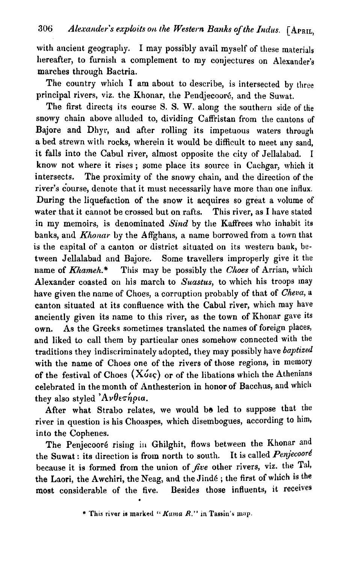with ancient geography. I may possibly avail myself of these materials hereafter, to furnish a complement to my conjectures on Alexander's marches through Bactria.

The country which I am about to describe, is intersected by three principal rivers, viz. the Khonar, the Pendjecooré, and the Suwat.

The first directs its course S. S. W. along the southern side of the snowy chain above alluded to, dividing Caffristan from the cantons **of**  Bajore and Dhyr, and after rolling its impetuous waters through a bed strewn with rocks, wherein it would be difficult to meet any sand, it falls into the Cabul river, almost opposite the city of Jellalabad. I know not where it rises ; some place its source in Cachgar, which it intersects. The proximity of the snowy chain, and the direction of the river's course, denote that it must necessarily have more than one influx. During the liquefaction of the snow it acquires so great a volume of water that it cannot be crossed but on rafts. This river, as I have stated in my memoirs, is denominated  $Sind$  by the Kaffrees who inhabit its banks, and  $Khonar$  by the Affghans, a name borrowed from a town that is the capital of a canton or district situated on its western bank, between Jellalabad and Bajore. Some travellers improperly give it the name of  $Khameh.*$  This may be possibly the Choes of Arrian, which Alexander coasted on his march to Suastus, to which his troops may have given the name of Choes, a corruption probably of that of Cheva, a canton situated at its confluence with the Cabul river, which may have anciently given its name to this river, as the town of Khonar gave its own. As the Greeks sometimes translated the names of foreign places, and liked to call them by particular ones somehow connected with the traditions they indiscriminately adopted, they may possibly have baptized with the name of Choes one of the rivers of those regions, in memory of the festival of Choes  $(X \nightharpoonup \infty)$  or of the libations which the Athenians celebrated in the month of Anthesterion in honor of Bacchus, and which they also styled  $A\nu\theta \in \hat{\eta}$ *pia.* 

After what Strabo relates, we would be led to suppose that the river in question is his Choaspes, which disembogues, according to him, into the Cophenes.

The Penjecooré rising in Ghilghit, flows between the Khonar and the Suwat: its direction is from north to south. It is called  $Penjecoor\ell$ because it is formed from the union of  $f$ *ive* other rivers, viz. the Tal, the Laori, the Awchiri, the Neag, and the Jindé; the first of which is the most considerable of the five. Besides those influents, it receives<br>\* This river is marked " *Kama R.*" in Tassin's map.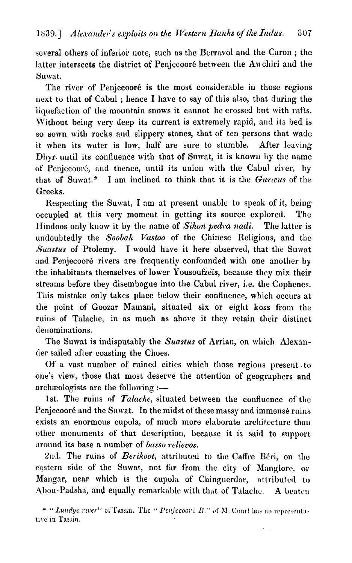several others of inferior note, such as the Berravol and the Caron; the latter intersects the district of Penjecooré between the Awchiri and the Suwat.

The river of Penjecooré is the most considerable in those regions next to that of Cabul ; hence I have to say of this also, that during the liquefaction of the mountain snows it cannot be crossed but with rafts. Without being very deep its current is extremely rapid, and its bed is so sown with rocks and slippery stones, that of ten persons that wade it when its water is low, half are sure to stumble. After leaving Dhyr until its confluence with that of Suwat, it is known by the name of Penjecooré, and thence, until its union with the Cabul river, by that of Suwat.\* I am inclined to think that it is the *Guraus* of the Greeks.

Respecting the Suwat, I am at present unable to speak of it, being occupied at this very moment in getting its source explored. The If Iindoos only know it by the name of *Sihon pedra nadi*. The latter is undoubtedly the *Soobah Vastoo* of the Chinese Religious, and the Suastus of Ptolemy. I would have it here observed, that the Suwat and Penjecooré rivers are frequently confounded with one another by the inhabitants themselves of lower Yousoufzeïs, because they mix their streams before they disembogue into the Cabul river, i.e. the Cophenes. This mistake only takes place below their confluence, which occurs at tlie point of Goozar Mamani, situated six or eight koss from the ruins of Talache, in as much as above it they retain their distinct denominations.

The Suwat is indisputably the *Suastus* of Arrian, on which Alexander sailed after coasting the Choes.

Of a vast number of ruined cities which those regions present to one's view, those that most deserve the attention of geographers and archaeologists are the following  $:$ 

1st. The ruins of *Talache*, situated between the confluence of the Penjecooré and the Suwat. In the midst of these massy and immense ruins exists an enormous cupola, of much more elaborate architecture than other monuments of that description, because it is said to support around its base a number of *basso relievos*.

2nd. The ruins of *Berikoot*, attributed to the Caffre Béri, on the castern side of the Suwat, not far from the city of Manglore, or Mangar, near which is the cupola of Chinguerdar, attributed to Abou-Padsha, and equally remarkable with that of Talache. A beaten

<sup>\* &</sup>quot; *Lundyc river*" of Tassin. The " *Penjecoord R.*" of M. Court has no representative in Tassin.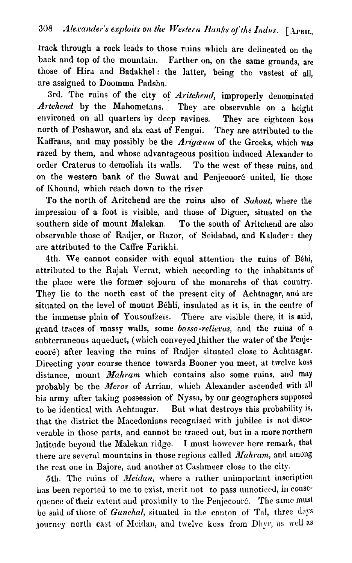track through a rock leads to those ruins which are delineated on the back and top of the mountain. Farther on, on the same grounds, are those of Hira and Badakhel: the latter, being the vastest of all. are assigned to Doomma Padsha.

3rd. The ruins of the city of Aritchend, improperly denominated *Artchend* by the Mahometans. They are observable on a height environed on all quarters by deep ravines. They are eighteen koss north of Peshawur, and six east of Fengui. They are attributed to the Kaffrans, and may possibly be the *Arigæum* of the Greeks, which was razed by them, and whose advantageous position induced Alexander to order Craterus to demolish its walls. To the west of these ruins, and on the western bank of the Suwat and Penjecooré united, lie those of Khound, which reach down to the river.

To the north of Aritchend are the ruins also of Suhout, where the impression of a foot is visible, and those of Digaer, situated on the southern side of mount Malekan. To the south of Aritchend are also observable those of Radjer, or Razor, of Seidabad, and Kalader: they are attributed to the Caffre Farikhi.

4th. We cannot consider with equal attention the ruins of Béhi, attributed to the Rajah Verrat, which according to the inhabitants of the place were the former sojourn of the monarchs of that country. They lie to the north east of the present city of Achtnagar, and are situated on the level of mount Béhli, insulated as it is, in the centre of the immense plain of Yousoufzeïs. There are visible there, it is said, grand traces of massy walls, some basso-reliecos, and the ruins of a subterraneous aqueduct, (which conveyed thither the water of the Penjecoor6) after leaving the ruins of Radjer situated close to Achtnagar. Directing your course thence towards Booner you meet, at twelve koss distance, mount *Mahram* which contains also some ruins, and **may**  probably be the Meros of Arrian, which Alexander ascended with all his army after taking possession of Nyssa, by our geographers supposed to be identical with Achtnagar. But what destroys this probability is, that the district the Macedonians recognised with jubilee is not discoxerable in those parts, and cannot be traced out, but in a more northern latitude beyond the Malekan ridge. I must however here remark, that there are several mountains in those regions called  $Mahram$ , and among the rest one in Bajore, and another at Cashineer close to the city.

5th. The ruins of *Meidan*, where a rather unimportant inscription has been reported to me to exist, merit not to pass unnoticed, in conscquence of their extent and proximity to the Penjecooré. The same must be said of those of Ganchal, situated in the canton of Tal, three days journey north east of Meidan, and twelve koss from Dhyr, as well as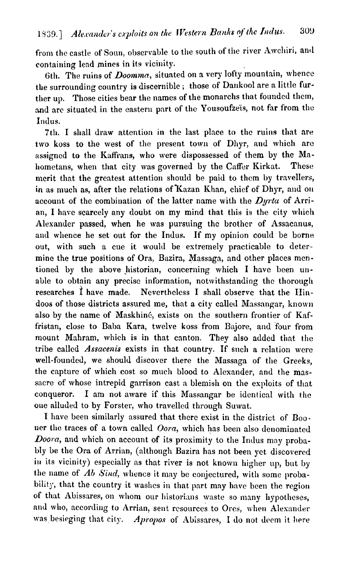from the castle of Soun, observable to the south of the river Awchiri, and containing lend mines in its vicinity.

6th. The ruins of *Doomma*, situated on a very lofty mountain, whence the surrounding country is discernible; those of Dankool are a little further up. Those cities bear the names of the monarchs that founded them. and are situated in the eastern part of the Yousoufzeïs, not far from the Indus.

7th. I shall draw attention in the last place to the ruins that are two koss to the west of the present town of Dhyr, and which are assigned to the Kaffrans, who were dispossessed of them by the Mahometans, when that city was governed by the Caffer Kirkat. These merit that the greatest attention should be paid to them by travellers, in as much as, after the relations of Kazan Khan, chief of Dhyr, and on account of the combination of the latter name with the *Dyrta* of Arrian, I have scarcely any doubt on my mind that this is the city which Alexander passed, when he was pursuing thc brother of Assacanus, and wllence he set out for the Indus. If my opinion could be borne out, with such a cue it would be extremely practicable to determine the true positions of Ora, Bazira, Massaga, and other places mentioned by the above historian, concerning which I have been unable to obtain any precise information, notwithstanding the thorough researches  $\hat{I}$  have made. Nevertheless I shall observe that the Hindoos of those districts assured me, that a city callecl Massangar, known also by the name of Maskhiné, exists on the southern frontier of Kaffristan, close to Baba Kara, twelve koss from Bajore, and four from mount Mahram, which is in that canton. They also added that the tribe callcd *Assaceais* exists in that country. If such a relation were well-founded, we should discover there the Massaga of the Greeks, the capture of which cost so much blood to Alexander, and the massacre of whose intrepid garrison cast a blemish on the exploits of that conqueror. I am not aware if this Massangar be identical with the one alluded to by Forster, who travelled through Suwat.

I have been similarly assured that there exist in the district of Booner the traces of a town called *Oora*, which has been also denominated *Doora*, and which on account of its proximity to the Indus may probably be the Ora of Arrinn, (although Bazira has not been yct discovered in its vicinity) especially as that river is not known higher up, but by the name of *Ab Sind*, whence it may be conjectured, with some probability, that the country it washes in that part may have been the region of that Abissares, on whom our historians waste so many hypotheses, and who, according to Arrian, sent resources to Ores, when Alexander was besieging that city. Apropos of Abissares, I do not deem it here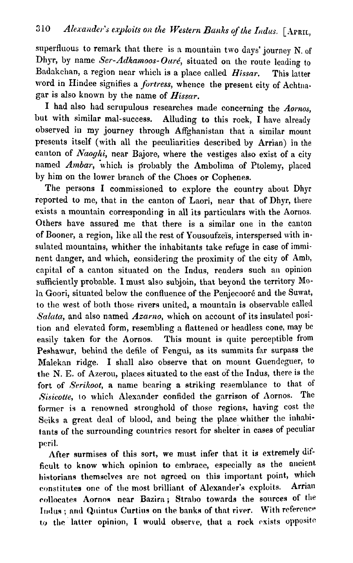superfluous to remark that there is a mountain two days' journey N. of Dhyr, by name Ser-Adkamoos-Ouré, situated on the route leading to Badakchan, a region near which is a place called  $H$ issar. This latter word in Hindee signifies a fortress, whence the present city of Achtnagar is also known by the name of  $H$ *issar*.

I had also had scrupulous researches made concerning the Aornos, but with similar mal-success. Alluding to this rock,  $\tilde{I}$  have already observed in my journey through Affghanistan that a similar mount presents itself (with all the peculiarities described by Arrian) in the canton of *Naoghi*, near Bajore, where the vestiges also exist of a city named Ambar, which is probably the Ambolima of Ptolemy, placed by him on the lower branch of the Choes or Cophenes.

The persons I commissioned to explore the country about Dhyr reported to me, that in the canton of Laori, near that of Dhyr, there exists a mountain corresponding in all its particulars with the Aornos. Others have assured me that there is a similar one in the canton of Booner, a region, like all the rest of Yousoufze'is, interspersed with insulated mountains, whither the inhabitants take refuge in case of imminent danger, and which, considering the proximity of the city of **Amb,**  capital of a canton situated on the Indus, renders such an opinion snfficiently probable. I must also subjoin, that beyond the territory Mola Goori, situated below the confluence of the Penjecooré and the Suwat, to the west of both those rivers united, a mountain is observable called *S'nktta,* and also named Azarno, which on account of its insulated position and elevated form, resembling a flattened or headless cone, may be easily taken for the Aornos. This mount is quite perceptible from Peshawur, behind the defile of Fengui, as its summits far surpass the Maleknn ridge. I shall also observe that on mount Guendeguer, to the N. **E.** of Azerou, places situated to the east of the Indus, there is the fort of Serikoot, a name bearing a striking resemblance to that of Sisicotte, to which Alexander confided the garrison of Aornos. The former is a renowned stronghold of those regions, having cost the Sciks a great deal of blood, and being the place whither the inhabitants of the surrounding countrics resort for shelter in cases of peculiar peril.

After surmises of this sort, we must infer that it is extremely difficult to know which opinion to embrace, especially as the ancient historians themselves are not agreed on this important point, which<br>constitutes one of the most brilliant of Alexander's exploits. Arrian constitutes one of the most brilliant of Alexander's exploits. collocates Aornos near Bazira; Strabo towards the sources of the Indus; and Quintus Curtius on the banks of that river. With reference to the latter opinion, I would observe, that a rock exists opposite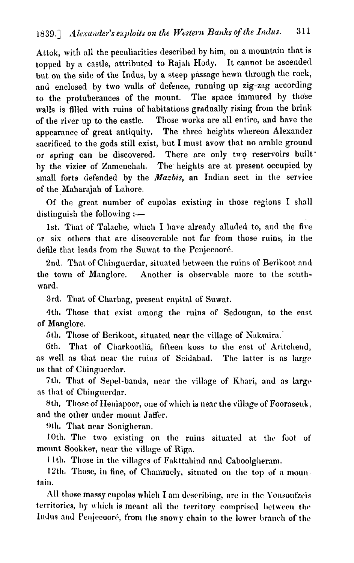Attok, with all the peculiarities described by him, on a mountain that is topped by a castle, attributed to Rajalr Hody. It cannot be ascended but on the side of the Indus, by a steep passage hewn through the rock, and enclosed by two walls of defence, running up zig-zag according to the protuberances of the mount. The space immured by those walls is filled with ruins of habitations gradually rising from the brink of the river up to the castle. Those works are all entire, and have the appearance of great antiquity. The three heights whereon Alexander sacrificed to the gods still exist, but I must avow that no arable ground or spring can be discovered. There are only two reservoirs built' by the vizier of Zamenchah. The heights are at present occupied by small forts defended by the *Mazbis,* an Indian sect in the service of the Maharajah of Lahore.

Of the great number of cupolas existing in those regions I shall distinguish the following  $:=$ 

1st. That of Talache, which I have already alluded to, and the five or sis others that are discoverable not far from those ruins, in the defile that leads from the Suwat to the Penjecooré.

2nd. That of Chinguerdar, situated between the ruins of Berikoot and the town of Manglore. Another is observable more to the southward.

3rd. That of Chnrbng, present capital of Suwat.

4th. Those that exist among the ruins of Sedougan, to the east of Manglore.

5th. Those of Berikoot, situated ncar the village of Xakmira.'

6th. That of Charkootlia, fifteen koss to the east of Aritchend, as well as that near the ruins of Seidabad. The latter is as large as that of Chinguerdar.

7th. That of Sepel-banda, near the village of Khari, and **as** large as that of Chinguerdar.

8th, Those of Heniapoor, one of which is near the village of Fooraseuk, and the other under mount Jaffer.

9th. That near Sonigheran.

10th. The two existing on the ruins situated at the foot of mount Sookker, near the village of Riga.

11th. Those in the villages of Fakttahind and Caboolgheram.

12th. Those, in fine, of Chammely, situated on the top of a mountain.

All those massy cupolas which I am describing, are in the Yousoufzeïs territories, by which is meant all the territory comprised between the Indus and Penjecooré, from the snowy chain to the lower branch of the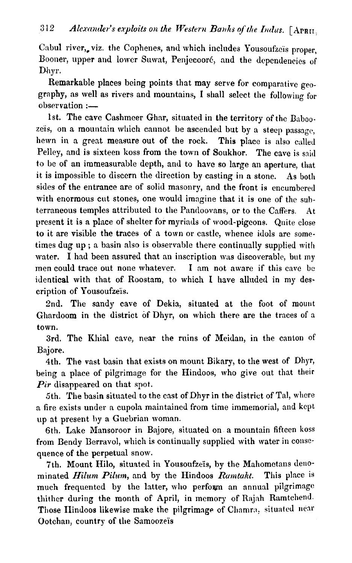Cabul river, viz. the Cophenes, and which includes Yousoufzeïs proper. Booner, upper and lower Suwat, Penjecooré, and the dependencies of Dhyr.

Remarkable places being points that may serve for comparative  $q_{0}$ . graphy, as well as rivers and mountains, I shall select the following for  $observation :=$ 

1st. The cave Cashmeer Ghar, situated in the territory of the Baboozeis, on a mountain which cannot be ascended but by a steep passage, hewn in a great measure out of the rock. This place is also called Pellev, and is sixteen koss from the town of Soukhor. The cave is said to be of an immeasurable depth, and to have so large an aperture, that it is impossible to discern the direction by casting in a stone. As both sides of the entrance are of solid masonry, and the front is encumbered with enormous cut stones, one would imagine that it is one of the subterraneous temples attributed to the Pandoovans, or to the Caffers. At present it is a place of shelter for myriads of wood-pigcons. **Quite** close to it are visible the traces of a town or castle, whence idols are sometimes dug up; a basin also is observable there continually supplied with water. I had been assured that an inscription was discoverable, but my men could trace out none whatever. I am not aware if this cave bc identical with that of Roostam, to which I have alluded in my description of Yousoufzeis.

2nd. The sandy cave of Dekia, situated at the foot of mount Ghardoom in the district of Dhyr, on which there are the traces of a town.

3rd. The Khial cave, near the ruins of Meidan, in the canton of Bajore.

4th. The vast basin that exists on mount Bikary, to the west of Dhyr, being a place of pilgrimage for the Hindoos, who give out that their *Pir* disappeared on that spot.

5th. The basin situated to the east of Dhyr in the district of Tal, where a fire exists under a cupola maintained from time immemorial, and kept up at present by a Guebrian woman.

6th. Lake Mansoroor in Bajore, situated on a mountain fifteen koss from Bendy Berravol, which is continually supplied with water in consequence of the perpetual snow.

7th. Mount Hilo, situated in Yousoufzeis, by the Mahometans denominated *Hilum Pilum*, and by the Hindoos *Ramtakt*. This place is much frequented by the latter, who perform an annual pilgrimage thither during the month of April, in memory of Rajah Ramtchend. Those IIindoos likewise make the pilgrimage of Chamra, situated near Ootchan, country of the Samoozeis